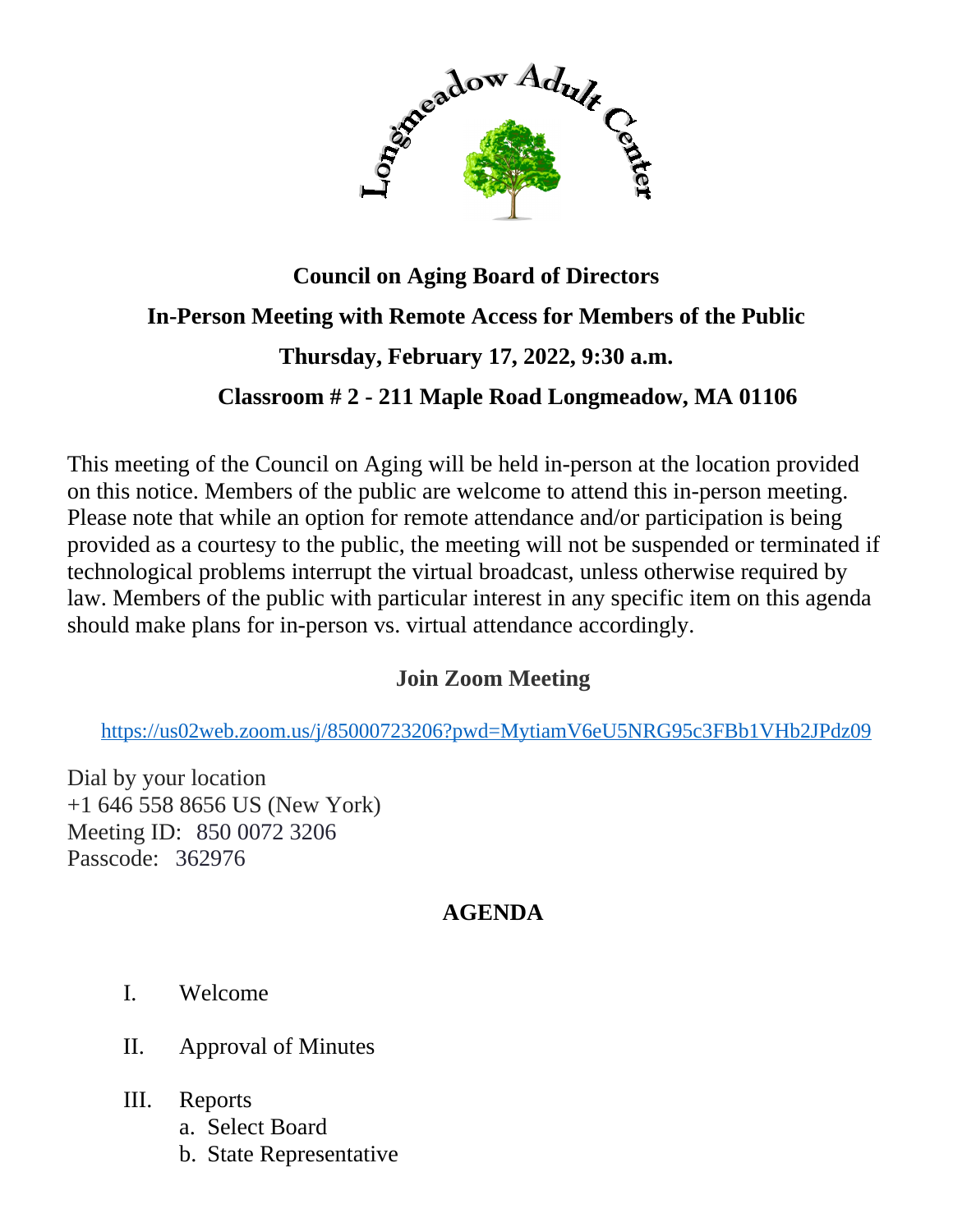

## **Council on Aging Board of Directors In-Person Meeting with Remote Access for Members of the Public Thursday, February 17, 2022, 9:30 a.m. Classroom # 2 - 211 Maple Road Longmeadow, MA 01106**

This meeting of the Council on Aging will be held in-person at the location provided on this notice. Members of the public are welcome to attend this in-person meeting. Please note that while an option for remote attendance and/or participation is being provided as a courtesy to the public, the meeting will not be suspended or terminated if technological problems interrupt the virtual broadcast, unless otherwise required by law. Members of the public with particular interest in any specific item on this agenda should make plans for in-person vs. virtual attendance accordingly.

## **Join Zoom Meeting**

<https://us02web.zoom.us/j/85000723206?pwd=MytiamV6eU5NRG95c3FBb1VHb2JPdz09>

Dial by your location +1 646 558 8656 US (New York) Meeting ID: 850 0072 3206 Passcode: 362976

## **AGENDA**

- I. Welcome
- II. Approval of Minutes
- III. Reports
	- a. Select Board
	- b. State Representative